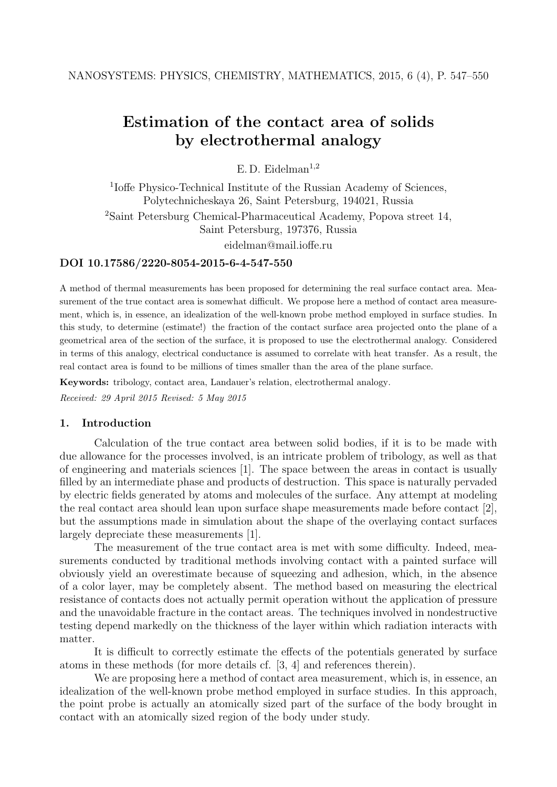# Estimation of the contact area of solids by electrothermal analogy

E.D. Eidelman<sup>1,2</sup>

<sup>1</sup>Ioffe Physico-Technical Institute of the Russian Academy of Sciences, Polytechnicheskaya 26, Saint Petersburg, 194021, Russia <sup>2</sup>Saint Petersburg Chemical-Pharmaceutical Academy, Popova street 14, Saint Petersburg, 197376, Russia eidelman@mail.ioffe.ru

# DOI 10.17586/2220-8054-2015-6-4-547-550

A method of thermal measurements has been proposed for determining the real surface contact area. Measurement of the true contact area is somewhat difficult. We propose here a method of contact area measurement, which is, in essence, an idealization of the well-known probe method employed in surface studies. In this study, to determine (estimate!) the fraction of the contact surface area projected onto the plane of a geometrical area of the section of the surface, it is proposed to use the electrothermal analogy. Considered in terms of this analogy, electrical conductance is assumed to correlate with heat transfer. As a result, the real contact area is found to be millions of times smaller than the area of the plane surface.

Keywords: tribology, contact area, Landauer's relation, electrothermal analogy. Received: 29 April 2015 Revised: 5 May 2015

# 1. Introduction

Calculation of the true contact area between solid bodies, if it is to be made with due allowance for the processes involved, is an intricate problem of tribology, as well as that of engineering and materials sciences [1]. The space between the areas in contact is usually filled by an intermediate phase and products of destruction. This space is naturally pervaded by electric fields generated by atoms and molecules of the surface. Any attempt at modeling the real contact area should lean upon surface shape measurements made before contact [2], but the assumptions made in simulation about the shape of the overlaying contact surfaces largely depreciate these measurements [1].

The measurement of the true contact area is met with some difficulty. Indeed, measurements conducted by traditional methods involving contact with a painted surface will obviously yield an overestimate because of squeezing and adhesion, which, in the absence of a color layer, may be completely absent. The method based on measuring the electrical resistance of contacts does not actually permit operation without the application of pressure and the unavoidable fracture in the contact areas. The techniques involved in nondestructive testing depend markedly on the thickness of the layer within which radiation interacts with matter.

It is difficult to correctly estimate the effects of the potentials generated by surface atoms in these methods (for more details cf. [3, 4] and references therein).

We are proposing here a method of contact area measurement, which is, in essence, an idealization of the well-known probe method employed in surface studies. In this approach, the point probe is actually an atomically sized part of the surface of the body brought in contact with an atomically sized region of the body under study.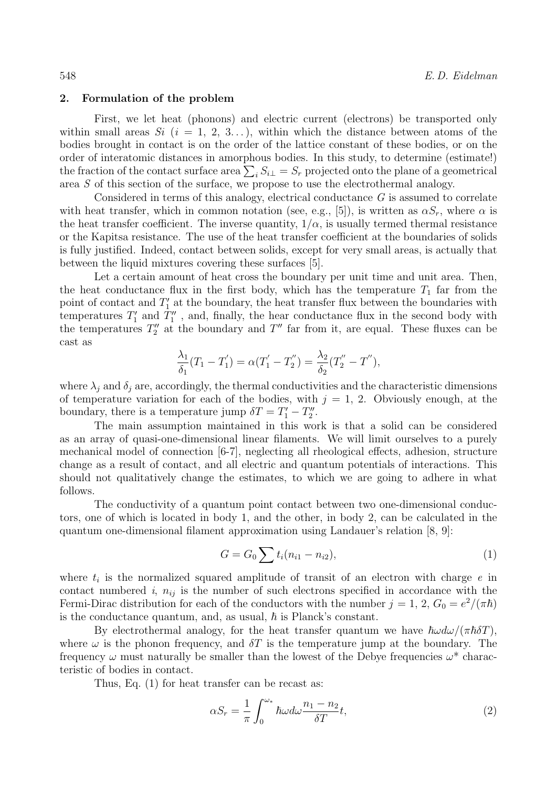## 2. Formulation of the problem

First, we let heat (phonons) and electric current (electrons) be transported only within small areas Si  $(i = 1, 2, 3, ...)$ , within which the distance between atoms of the bodies brought in contact is on the order of the lattice constant of these bodies, or on the order of interatomic distances in amorphous bodies. In this study, to determine (estimate!) the fraction of the contact surface area  $\sum_i S_{i\perp} = S_r$  projected onto the plane of a geometrical area S of this section of the surface, we propose to use the electrothermal analogy.

Considered in terms of this analogy, electrical conductance G is assumed to correlate with heat transfer, which in common notation (see, e.g., [5]), is written as  $\alpha S_r$ , where  $\alpha$  is the heat transfer coefficient. The inverse quantity,  $1/\alpha$ , is usually termed thermal resistance or the Kapitsa resistance. The use of the heat transfer coefficient at the boundaries of solids is fully justified. Indeed, contact between solids, except for very small areas, is actually that between the liquid mixtures covering these surfaces [5].

Let a certain amount of heat cross the boundary per unit time and unit area. Then, the heat conductance flux in the first body, which has the temperature  $T_1$  far from the point of contact and  $T_1'$  at the boundary, the heat transfer flux between the boundaries with temperatures  $T_1'$  and  $T_1''$ , and, finally, the hear conductance flux in the second body with the temperatures  $T_2''$  at the boundary and  $T''$  far from it, are equal. These fluxes can be cast as

$$
\frac{\lambda_1}{\delta_1}(T_1 - T_1') = \alpha (T_1' - T_2'') = \frac{\lambda_2}{\delta_2}(T_2'' - T''),
$$

where  $\lambda_i$  and  $\delta_i$  are, accordingly, the thermal conductivities and the characteristic dimensions of temperature variation for each of the bodies, with  $j = 1, 2$ . Obviously enough, at the boundary, there is a temperature jump  $\delta T = T'_1 - T''_2$ .

The main assumption maintained in this work is that a solid can be considered as an array of quasi-one-dimensional linear filaments. We will limit ourselves to a purely mechanical model of connection [6-7], neglecting all rheological effects, adhesion, structure change as a result of contact, and all electric and quantum potentials of interactions. This should not qualitatively change the estimates, to which we are going to adhere in what follows.

The conductivity of a quantum point contact between two one-dimensional conductors, one of which is located in body 1, and the other, in body 2, can be calculated in the quantum one-dimensional filament approximation using Landauer's relation [8, 9]:

$$
G = G_0 \sum t_i (n_{i1} - n_{i2}), \qquad (1)
$$

where  $t_i$  is the normalized squared amplitude of transit of an electron with charge  $e$  in contact numbered i,  $n_{ij}$  is the number of such electrons specified in accordance with the Fermi-Dirac distribution for each of the conductors with the number  $j = 1, 2, G_0 = e^2/(\pi \hbar)$ is the conductance quantum, and, as usual,  $\hbar$  is Planck's constant.

By electrothermal analogy, for the heat transfer quantum we have  $\hbar \omega d\omega/(\pi \hbar \delta T)$ , where  $\omega$  is the phonon frequency, and  $\delta T$  is the temperature jump at the boundary. The frequency  $\omega$  must naturally be smaller than the lowest of the Debye frequencies  $\omega^*$  characteristic of bodies in contact.

Thus, Eq. (1) for heat transfer can be recast as:

$$
\alpha S_r = \frac{1}{\pi} \int_0^{\omega_*} \hbar \omega d\omega \frac{n_1 - n_2}{\delta T} t,\tag{2}
$$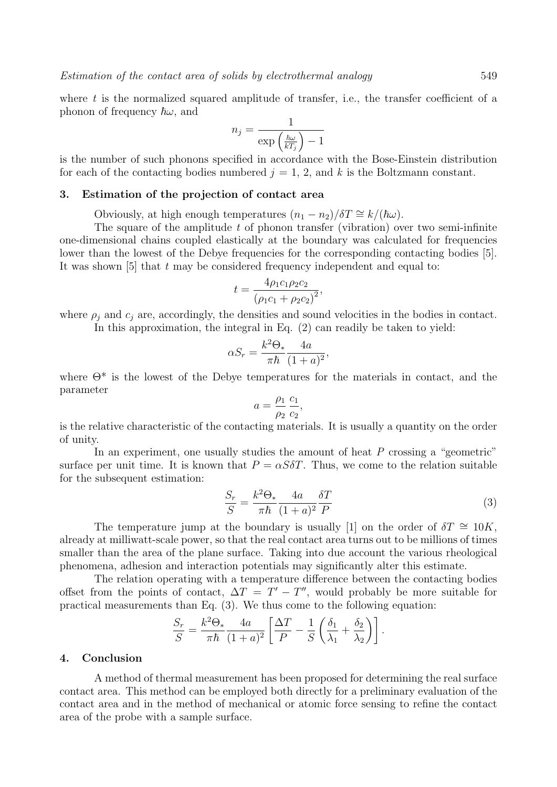where  $t$  is the normalized squared amplitude of transfer, i.e., the transfer coefficient of a phonon of frequency  $\hbar\omega$ , and

$$
n_j = \frac{1}{\exp\left(\frac{\hbar\omega}{kT_j}\right) - 1}
$$

is the number of such phonons specified in accordance with the Bose-Einstein distribution for each of the contacting bodies numbered  $j = 1, 2$ , and k is the Boltzmann constant.

## 3. Estimation of the projection of contact area

Obviously, at high enough temperatures  $(n_1 - n_2)/\delta T \cong k/(\hbar\omega)$ .

The square of the amplitude  $t$  of phonon transfer (vibration) over two semi-infinite one-dimensional chains coupled elastically at the boundary was calculated for frequencies lower than the lowest of the Debye frequencies for the corresponding contacting bodies [5]. It was shown  $[5]$  that t may be considered frequency independent and equal to:

$$
t = \frac{4\rho_1 c_1 \rho_2 c_2}{(\rho_1 c_1 + \rho_2 c_2)^2},
$$

where  $\rho_i$  and  $c_j$  are, accordingly, the densities and sound velocities in the bodies in contact.

In this approximation, the integral in Eq. (2) can readily be taken to yield:

$$
\alpha S_r = \frac{k^2 \Theta_*}{\pi \hbar} \frac{4a}{(1+a)^2},
$$

where  $\Theta^*$  is the lowest of the Debye temperatures for the materials in contact, and the parameter

$$
a = \frac{\rho_1}{\rho_2} \frac{c_1}{c_2},
$$

is the relative characteristic of the contacting materials. It is usually a quantity on the order of unity.

In an experiment, one usually studies the amount of heat P crossing a "geometric" surface per unit time. It is known that  $P = \alpha S \delta T$ . Thus, we come to the relation suitable for the subsequent estimation:

$$
\frac{S_r}{S} = \frac{k^2 \Theta_*}{\pi \hbar} \frac{4a}{(1+a)^2} \frac{\delta T}{P}
$$
\n(3)

The temperature jump at the boundary is usually [1] on the order of  $\delta T \cong 10K$ , already at milliwatt-scale power, so that the real contact area turns out to be millions of times smaller than the area of the plane surface. Taking into due account the various rheological phenomena, adhesion and interaction potentials may significantly alter this estimate.

The relation operating with a temperature difference between the contacting bodies offset from the points of contact,  $\Delta T = T' - T''$ , would probably be more suitable for practical measurements than Eq. (3). We thus come to the following equation:

$$
\frac{S_r}{S} = \frac{k^2 \Theta_*}{\pi \hbar} \frac{4a}{(1+a)^2} \left[ \frac{\Delta T}{P} - \frac{1}{S} \left( \frac{\delta_1}{\lambda_1} + \frac{\delta_2}{\lambda_2} \right) \right].
$$

## 4. Conclusion

A method of thermal measurement has been proposed for determining the real surface contact area. This method can be employed both directly for a preliminary evaluation of the contact area and in the method of mechanical or atomic force sensing to refine the contact area of the probe with a sample surface.